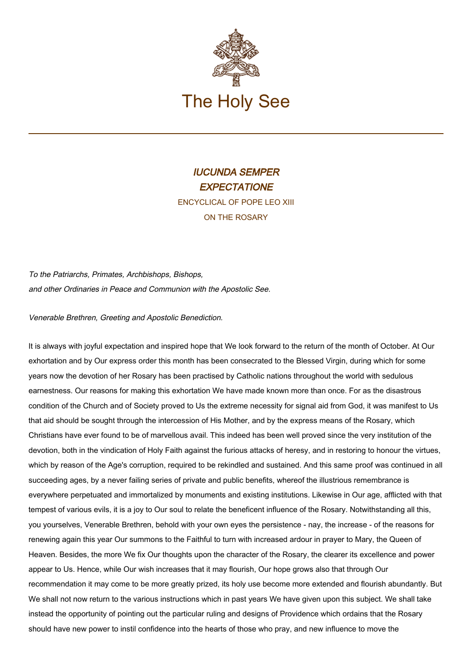

## IUCUNDA SEMPER **EXPECTATIONE** ENCYCLICAL OF POPE LEO XIII ON THE ROSARY

To the Patriarchs, Primates, Archbishops, Bishops, and other Ordinaries in Peace and Communion with the Apostolic See.

Venerable Brethren, Greeting and Apostolic Benediction.

It is always with joyful expectation and inspired hope that We look forward to the return of the month of October. At Our exhortation and by Our express order this month has been consecrated to the Blessed Virgin, during which for some years now the devotion of her Rosary has been practised by Catholic nations throughout the world with sedulous earnestness. Our reasons for making this exhortation We have made known more than once. For as the disastrous condition of the Church and of Society proved to Us the extreme necessity for signal aid from God, it was manifest to Us that aid should be sought through the intercession of His Mother, and by the express means of the Rosary, which Christians have ever found to be of marvellous avail. This indeed has been well proved since the very institution of the devotion, both in the vindication of Holy Faith against the furious attacks of heresy, and in restoring to honour the virtues, which by reason of the Age's corruption, required to be rekindled and sustained. And this same proof was continued in all succeeding ages, by a never failing series of private and public benefits, whereof the illustrious remembrance is everywhere perpetuated and immortalized by monuments and existing institutions. Likewise in Our age, afflicted with that tempest of various evils, it is a joy to Our soul to relate the beneficent influence of the Rosary. Notwithstanding all this, you yourselves, Venerable Brethren, behold with your own eyes the persistence - nay, the increase - of the reasons for renewing again this year Our summons to the Faithful to turn with increased ardour in prayer to Mary, the Queen of Heaven. Besides, the more We fix Our thoughts upon the character of the Rosary, the clearer its excellence and power appear to Us. Hence, while Our wish increases that it may flourish, Our hope grows also that through Our recommendation it may come to be more greatly prized, its holy use become more extended and flourish abundantly. But We shall not now return to the various instructions which in past years We have given upon this subject. We shall take instead the opportunity of pointing out the particular ruling and designs of Providence which ordains that the Rosary should have new power to instil confidence into the hearts of those who pray, and new influence to move the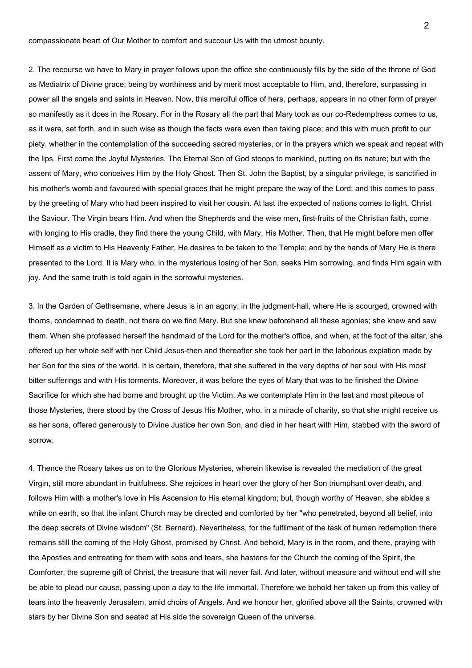compassionate heart of Our Mother to comfort and succour Us with the utmost bounty.

2. The recourse we have to Mary in prayer follows upon the office she continuously fills by the side of the throne of God as Mediatrix of Divine grace; being by worthiness and by merit most acceptable to Him, and, therefore, surpassing in power all the angels and saints in Heaven. Now, this merciful office of hers, perhaps, appears in no other form of prayer so manifestly as it does in the Rosary. For in the Rosary all the part that Mary took as our co-Redemptress comes to us, as it were, set forth, and in such wise as though the facts were even then taking place; and this with much profit to our piety, whether in the contemplation of the succeeding sacred mysteries, or in the prayers which we speak and repeat with the lips. First come the Joyful Mysteries. The Eternal Son of God stoops to mankind, putting on its nature; but with the assent of Mary, who conceives Him by the Holy Ghost. Then St. John the Baptist, by a singular privilege, is sanctified in his mother's womb and favoured with special graces that he might prepare the way of the Lord; and this comes to pass by the greeting of Mary who had been inspired to visit her cousin. At last the expected of nations comes to light, Christ the Saviour. The Virgin bears Him. And when the Shepherds and the wise men, first-fruits of the Christian faith, come with longing to His cradle, they find there the young Child, with Mary, His Mother. Then, that He might before men offer Himself as a victim to His Heavenly Father, He desires to be taken to the Temple; and by the hands of Mary He is there presented to the Lord. It is Mary who, in the mysterious losing of her Son, seeks Him sorrowing, and finds Him again with joy. And the same truth is told again in the sorrowful mysteries.

3. In the Garden of Gethsemane, where Jesus is in an agony; in the judgment-hall, where He is scourged, crowned with thorns, condemned to death, not there do we find Mary. But she knew beforehand all these agonies; she knew and saw them. When she professed herself the handmaid of the Lord for the mother's office, and when, at the foot of the altar, she offered up her whole self with her Child Jesus-then and thereafter she took her part in the laborious expiation made by her Son for the sins of the world. It is certain, therefore, that she suffered in the very depths of her soul with His most bitter sufferings and with His torments. Moreover, it was before the eyes of Mary that was to be finished the Divine Sacrifice for which she had borne and brought up the Victim. As we contemplate Him in the last and most piteous of those Mysteries, there stood by the Cross of Jesus His Mother, who, in a miracle of charity, so that she might receive us as her sons, offered generously to Divine Justice her own Son, and died in her heart with Him, stabbed with the sword of sorrow.

4. Thence the Rosary takes us on to the Glorious Mysteries, wherein likewise is revealed the mediation of the great Virgin, still more abundant in fruitfulness. She rejoices in heart over the glory of her Son triumphant over death, and follows Him with a mother's love in His Ascension to His eternal kingdom; but, though worthy of Heaven, she abides a while on earth, so that the infant Church may be directed and comforted by her "who penetrated, beyond all belief, into the deep secrets of Divine wisdom" (St. Bernard). Nevertheless, for the fulfilment of the task of human redemption there remains still the coming of the Holy Ghost, promised by Christ. And behold, Mary is in the room, and there, praying with the Apostles and entreating for them with sobs and tears, she hastens for the Church the coming of the Spirit, the Comforter, the supreme gift of Christ, the treasure that will never fail. And later, without measure and without end will she be able to plead our cause, passing upon a day to the life immortal. Therefore we behold her taken up from this valley of tears into the heavenly Jerusalem, amid choirs of Angels. And we honour her, glorified above all the Saints, crowned with stars by her Divine Son and seated at His side the sovereign Queen of the universe.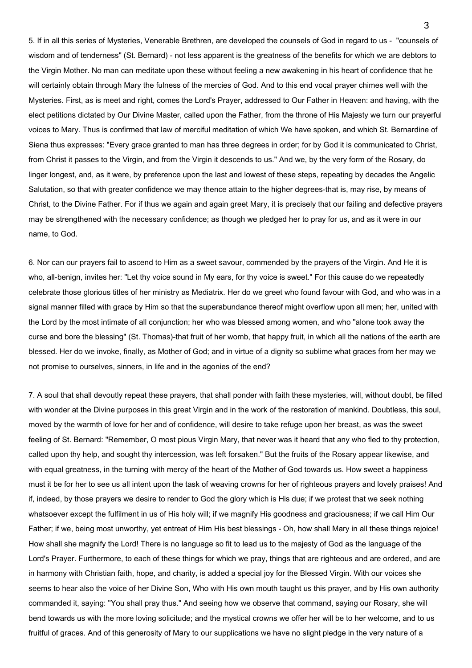5. If in all this series of Mysteries, Venerable Brethren, are developed the counsels of God in regard to us - "counsels of wisdom and of tenderness" (St. Bernard) - not less apparent is the greatness of the benefits for which we are debtors to the Virgin Mother. No man can meditate upon these without feeling a new awakening in his heart of confidence that he will certainly obtain through Mary the fulness of the mercies of God. And to this end vocal prayer chimes well with the Mysteries. First, as is meet and right, comes the Lord's Prayer, addressed to Our Father in Heaven: and having, with the elect petitions dictated by Our Divine Master, called upon the Father, from the throne of His Majesty we turn our prayerful voices to Mary. Thus is confirmed that law of merciful meditation of which We have spoken, and which St. Bernardine of Siena thus expresses: "Every grace granted to man has three degrees in order; for by God it is communicated to Christ, from Christ it passes to the Virgin, and from the Virgin it descends to us." And we, by the very form of the Rosary, do linger longest, and, as it were, by preference upon the last and lowest of these steps, repeating by decades the Angelic Salutation, so that with greater confidence we may thence attain to the higher degrees-that is, may rise, by means of Christ, to the Divine Father. For if thus we again and again greet Mary, it is precisely that our failing and defective prayers may be strengthened with the necessary confidence; as though we pledged her to pray for us, and as it were in our name, to God.

6. Nor can our prayers fail to ascend to Him as a sweet savour, commended by the prayers of the Virgin. And He it is who, all-benign, invites her: "Let thy voice sound in My ears, for thy voice is sweet." For this cause do we repeatedly celebrate those glorious titles of her ministry as Mediatrix. Her do we greet who found favour with God, and who was in a signal manner filled with grace by Him so that the superabundance thereof might overflow upon all men; her, united with the Lord by the most intimate of all conjunction; her who was blessed among women, and who "alone took away the curse and bore the blessing" (St. Thomas)-that fruit of her womb, that happy fruit, in which all the nations of the earth are blessed. Her do we invoke, finally, as Mother of God; and in virtue of a dignity so sublime what graces from her may we not promise to ourselves, sinners, in life and in the agonies of the end?

7. A soul that shall devoutly repeat these prayers, that shall ponder with faith these mysteries, will, without doubt, be filled with wonder at the Divine purposes in this great Virgin and in the work of the restoration of mankind. Doubtless, this soul, moved by the warmth of love for her and of confidence, will desire to take refuge upon her breast, as was the sweet feeling of St. Bernard: "Remember, O most pious Virgin Mary, that never was it heard that any who fled to thy protection, called upon thy help, and sought thy intercession, was left forsaken." But the fruits of the Rosary appear likewise, and with equal greatness, in the turning with mercy of the heart of the Mother of God towards us. How sweet a happiness must it be for her to see us all intent upon the task of weaving crowns for her of righteous prayers and lovely praises! And if, indeed, by those prayers we desire to render to God the glory which is His due; if we protest that we seek nothing whatsoever except the fulfilment in us of His holy will; if we magnify His goodness and graciousness; if we call Him Our Father; if we, being most unworthy, yet entreat of Him His best blessings - Oh, how shall Mary in all these things rejoice! How shall she magnify the Lord! There is no language so fit to lead us to the majesty of God as the language of the Lord's Prayer. Furthermore, to each of these things for which we pray, things that are righteous and are ordered, and are in harmony with Christian faith, hope, and charity, is added a special joy for the Blessed Virgin. With our voices she seems to hear also the voice of her Divine Son, Who with His own mouth taught us this prayer, and by His own authority commanded it, saying: "You shall pray thus." And seeing how we observe that command, saying our Rosary, she will bend towards us with the more loving solicitude; and the mystical crowns we offer her will be to her welcome, and to us fruitful of graces. And of this generosity of Mary to our supplications we have no slight pledge in the very nature of a

3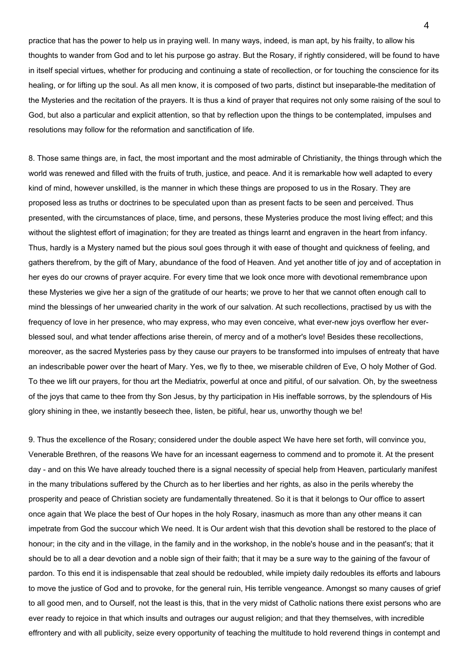practice that has the power to help us in praying well. In many ways, indeed, is man apt, by his frailty, to allow his thoughts to wander from God and to let his purpose go astray. But the Rosary, if rightly considered, will be found to have in itself special virtues, whether for producing and continuing a state of recollection, or for touching the conscience for its healing, or for lifting up the soul. As all men know, it is composed of two parts, distinct but inseparable-the meditation of the Mysteries and the recitation of the prayers. It is thus a kind of prayer that requires not only some raising of the soul to God, but also a particular and explicit attention, so that by reflection upon the things to be contemplated, impulses and resolutions may follow for the reformation and sanctification of life.

8. Those same things are, in fact, the most important and the most admirable of Christianity, the things through which the world was renewed and filled with the fruits of truth, justice, and peace. And it is remarkable how well adapted to every kind of mind, however unskilled, is the manner in which these things are proposed to us in the Rosary. They are proposed less as truths or doctrines to be speculated upon than as present facts to be seen and perceived. Thus presented, with the circumstances of place, time, and persons, these Mysteries produce the most living effect; and this without the slightest effort of imagination; for they are treated as things learnt and engraven in the heart from infancy. Thus, hardly is a Mystery named but the pious soul goes through it with ease of thought and quickness of feeling, and gathers therefrom, by the gift of Mary, abundance of the food of Heaven. And yet another title of joy and of acceptation in her eyes do our crowns of prayer acquire. For every time that we look once more with devotional remembrance upon these Mysteries we give her a sign of the gratitude of our hearts; we prove to her that we cannot often enough call to mind the blessings of her unwearied charity in the work of our salvation. At such recollections, practised by us with the frequency of love in her presence, who may express, who may even conceive, what ever-new joys overflow her everblessed soul, and what tender affections arise therein, of mercy and of a mother's love! Besides these recollections, moreover, as the sacred Mysteries pass by they cause our prayers to be transformed into impulses of entreaty that have an indescribable power over the heart of Mary. Yes, we fly to thee, we miserable children of Eve, O holy Mother of God. To thee we lift our prayers, for thou art the Mediatrix, powerful at once and pitiful, of our salvation. Oh, by the sweetness of the joys that came to thee from thy Son Jesus, by thy participation in His ineffable sorrows, by the splendours of His glory shining in thee, we instantly beseech thee, listen, be pitiful, hear us, unworthy though we be!

9. Thus the excellence of the Rosary; considered under the double aspect We have here set forth, will convince you, Venerable Brethren, of the reasons We have for an incessant eagerness to commend and to promote it. At the present day - and on this We have already touched there is a signal necessity of special help from Heaven, particularly manifest in the many tribulations suffered by the Church as to her liberties and her rights, as also in the perils whereby the prosperity and peace of Christian society are fundamentally threatened. So it is that it belongs to Our office to assert once again that We place the best of Our hopes in the holy Rosary, inasmuch as more than any other means it can impetrate from God the succour which We need. It is Our ardent wish that this devotion shall be restored to the place of honour; in the city and in the village, in the family and in the workshop, in the noble's house and in the peasant's; that it should be to all a dear devotion and a noble sign of their faith; that it may be a sure way to the gaining of the favour of pardon. To this end it is indispensable that zeal should be redoubled, while impiety daily redoubles its efforts and labours to move the justice of God and to provoke, for the general ruin, His terrible vengeance. Amongst so many causes of grief to all good men, and to Ourself, not the least is this, that in the very midst of Catholic nations there exist persons who are ever ready to rejoice in that which insults and outrages our august religion; and that they themselves, with incredible effrontery and with all publicity, seize every opportunity of teaching the multitude to hold reverend things in contempt and